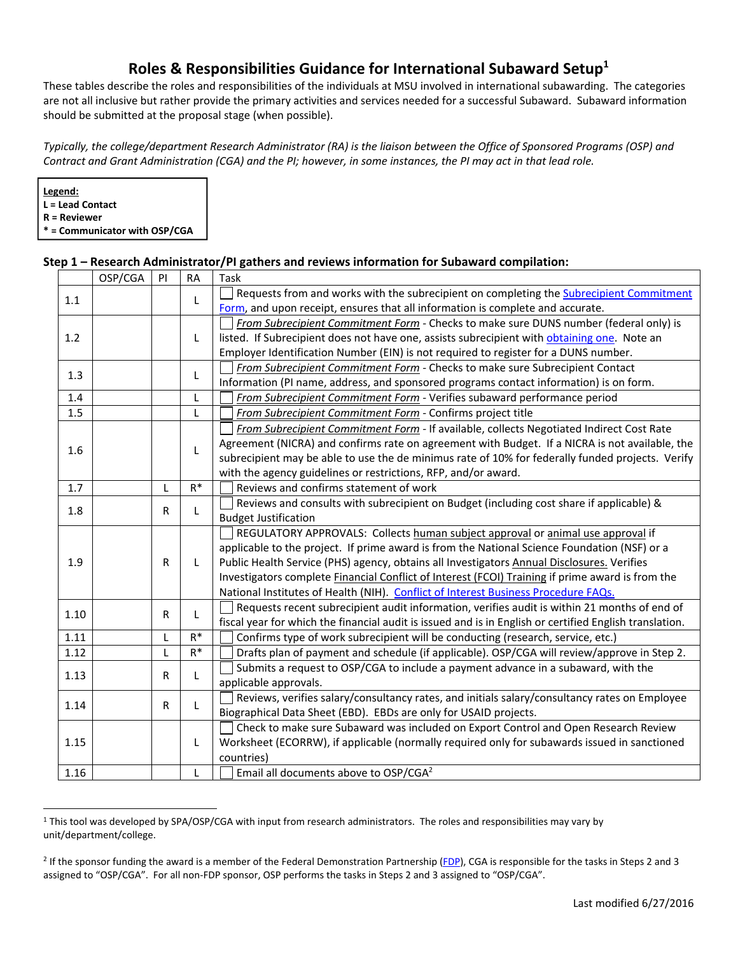# **Roles & Responsibilities Guidance for International Subaward Setup1**

These tables describe the roles and responsibilities of the individuals at MSU involved in international subawarding. The categories are not all inclusive but rather provide the primary activities and services needed for a successful Subaward. Subaward information should be submitted at the proposal stage (when possible).

*Typically, the college/department Research Administrator (RA) is the liaison between the Office of Sponsored Programs (OSP) and Contract and Grant Administration (CGA) and the PI; however, in some instances, the PI may act in that lead role.* 

**Step 1 – Research Administrator/PI gathers and reviews information for Subaward compilation:** 

**Legend: L = Lead Contact R = Reviewer \* = Communicator with OSP/CGA** 

|      | OSP/CGA | PI           | <b>RA</b> | Task                                                                                                    |
|------|---------|--------------|-----------|---------------------------------------------------------------------------------------------------------|
| 1.1  |         |              | L         | Requests from and works with the subrecipient on completing the Subrecipient Commitment                 |
|      |         |              |           | Form, and upon receipt, ensures that all information is complete and accurate.                          |
| 1.2  |         |              | L         | From Subrecipient Commitment Form - Checks to make sure DUNS number (federal only) is                   |
|      |         |              |           | listed. If Subrecipient does not have one, assists subrecipient with obtaining one. Note an             |
|      |         |              |           | Employer Identification Number (EIN) is not required to register for a DUNS number.                     |
| 1.3  |         |              | L         | From Subrecipient Commitment Form - Checks to make sure Subrecipient Contact                            |
|      |         |              |           | Information (PI name, address, and sponsored programs contact information) is on form.                  |
| 1.4  |         |              | L         | From Subrecipient Commitment Form - Verifies subaward performance period                                |
| 1.5  |         |              | L         | From Subrecipient Commitment Form - Confirms project title                                              |
|      |         |              | L         | From Subrecipient Commitment Form - If available, collects Negotiated Indirect Cost Rate                |
| 1.6  |         |              |           | Agreement (NICRA) and confirms rate on agreement with Budget. If a NICRA is not available, the          |
|      |         |              |           | subrecipient may be able to use the de minimus rate of 10% for federally funded projects. Verify        |
|      |         |              |           | with the agency guidelines or restrictions, RFP, and/or award.                                          |
| 1.7  |         | L            | $R^*$     | Reviews and confirms statement of work                                                                  |
| 1.8  |         | $\mathsf{R}$ | L         | Reviews and consults with subrecipient on Budget (including cost share if applicable) &                 |
|      |         |              |           | <b>Budget Justification</b>                                                                             |
|      |         | $\mathsf{R}$ | L         | REGULATORY APPROVALS: Collects human subject approval or animal use approval if                         |
|      |         |              |           | applicable to the project. If prime award is from the National Science Foundation (NSF) or a            |
| 1.9  |         |              |           | Public Health Service (PHS) agency, obtains all Investigators Annual Disclosures. Verifies              |
|      |         |              |           | Investigators complete Financial Conflict of Interest (FCOI) Training if prime award is from the        |
|      |         |              |           | National Institutes of Health (NIH). Conflict of Interest Business Procedure FAQs.                      |
| 1.10 |         | R            | L         | Requests recent subrecipient audit information, verifies audit is within 21 months of end of            |
|      |         |              |           | fiscal year for which the financial audit is issued and is in English or certified English translation. |
| 1.11 |         | L            | $R^*$     | Confirms type of work subrecipient will be conducting (research, service, etc.)                         |
| 1.12 |         | L            | $R^*$     | Drafts plan of payment and schedule (if applicable). OSP/CGA will review/approve in Step 2.             |
| 1.13 |         | $\mathsf{R}$ | L         | Submits a request to OSP/CGA to include a payment advance in a subaward, with the                       |
|      |         |              |           | applicable approvals.                                                                                   |
| 1.14 |         | R            | L         | Reviews, verifies salary/consultancy rates, and initials salary/consultancy rates on Employee           |
|      |         |              |           | Biographical Data Sheet (EBD). EBDs are only for USAID projects.                                        |
| 1.15 |         |              |           | Check to make sure Subaward was included on Export Control and Open Research Review                     |
|      |         |              | L         | Worksheet (ECORRW), if applicable (normally required only for subawards issued in sanctioned            |
|      |         |              |           | countries)                                                                                              |
| 1.16 |         |              | L         | Email all documents above to OSP/CGA <sup>2</sup>                                                       |

<sup>&</sup>lt;sup>1</sup> This tool was developed by SPA/OSP/CGA with input from research administrators. The roles and responsibilities may vary by unit/department/college.

<sup>&</sup>lt;sup>2</sup> If the sponsor funding the award is a member of the Federal Demonstration Partnership ([FDP\)](http://sites.nationalacademies.org/PGA/fdp/PGA_055518), CGA is responsible for the tasks in Steps 2 and 3 assigned to "OSP/CGA". For all non‐FDP sponsor, OSP performs the tasks in Steps 2 and 3 assigned to "OSP/CGA".